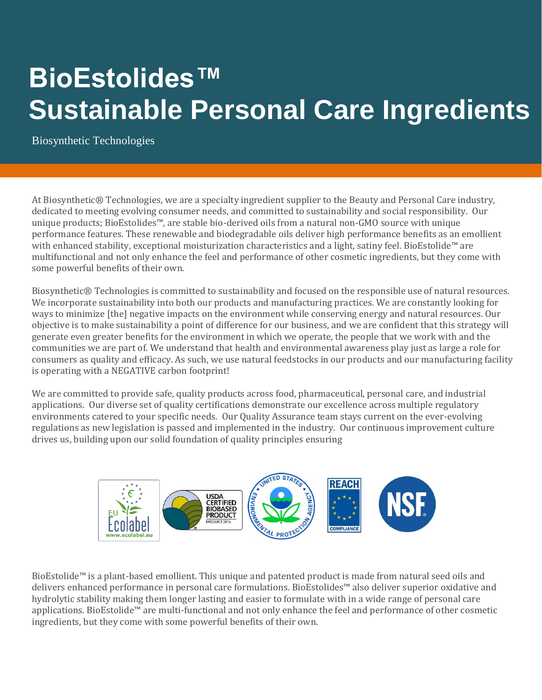## **BioEstolides™ Sustainable Personal Care Ingredients**

Biosynthetic Technologies

At Biosynthetic® Technologies, we are a specialty ingredient supplier to the Beauty and Personal Care industry, dedicated to meeting evolving consumer needs, and committed to sustainability and social responsibility. Our unique products; BioEstolides™, are stable bio-derived oils from a natural non-GMO source with unique performance features. These renewable and biodegradable oils deliver high performance benefits as an emollient with enhanced stability, exceptional moisturization characteristics and a light, satiny feel. BioEstolide™ are multifunctional and not only enhance the feel and performance of other cosmetic ingredients, but they come with some powerful benefits of their own.

Biosynthetic® Technologies is committed to sustainability and focused on the responsible use of natural resources. We incorporate sustainability into both our products and manufacturing practices. We are constantly looking for ways to minimize [the] negative impacts on the environment while conserving energy and natural resources. Our objective is to make sustainability a point of difference for our business, and we are confident that this strategy will generate even greater benefits for the environment in which we operate, the people that we work with and the communities we are part of. We understand that health and environmental awareness play just as large a role for consumers as quality and efficacy. As such, we use natural feedstocks in our products and our manufacturing facility is operating with a NEGATIVE carbon footprint!

We are committed to provide safe, quality products across food, pharmaceutical, personal care, and industrial applications. Our diverse set of quality certifications demonstrate our excellence across multiple regulatory environments catered to your specific needs. Our Quality Assurance team stays current on the ever-evolving regulations as new legislation is passed and implemented in the industry. Our continuous improvement culture drives us, building upon our solid foundation of quality principles ensuring



BioEstolide™ is a plant-based emollient. This unique and patented product is made from natural seed oils and delivers enhanced performance in personal care formulations. BioEstolides™ also deliver superior oxidative and hydrolytic stability making them longer lasting and easier to formulate with in a wide range of personal care applications. BioEstolide™ are multi-functional and not only enhance the feel and performance of other cosmetic ingredients, but they come with some powerful benefits of their own.